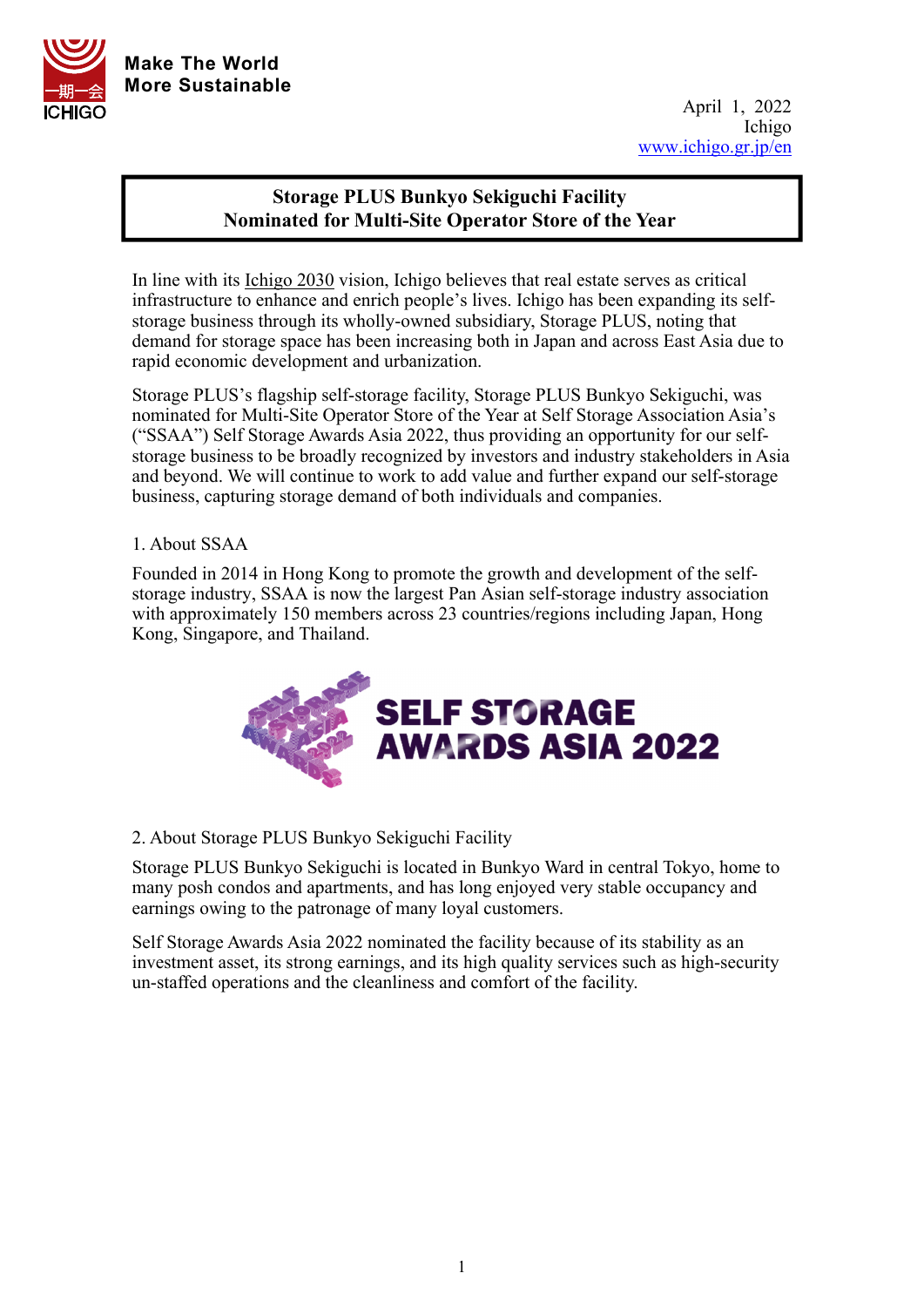

## **Storage PLUS Bunkyo Sekiguchi Facility Nominated for Multi-Site Operator Store of the Year**

In line with its Ichigo 2030 vision, Ichigo believes that real estate serves as critical infrastructure to enhance and enrich people's lives. Ichigo has been expanding its selfstorage business through its wholly-owned subsidiary, Storage PLUS, noting that demand for storage space has been increasing both in Japan and across East Asia due to rapid economic development and urbanization.

Storage PLUS's flagship self-storage facility, Storage PLUS Bunkyo Sekiguchi, was nominated for Multi-Site Operator Store of the Year at Self Storage Association Asia's ("SSAA") Self Storage Awards Asia 2022, thus providing an opportunity for our selfstorage business to be broadly recognized by investors and industry stakeholders in Asia and beyond. We will continue to work to add value and further expand our self-storage business, capturing storage demand of both individuals and companies.

## 1. About SSAA

Founded in 2014 in Hong Kong to promote the growth and development of the selfstorage industry, SSAA is now the largest Pan Asian self-storage industry association with approximately 150 members across 23 countries/regions including Japan, Hong Kong, Singapore, and Thailand.



## 2. About Storage PLUS Bunkyo Sekiguchi Facility

Storage PLUS Bunkyo Sekiguchi is located in Bunkyo Ward in central Tokyo, home to many posh condos and apartments, and has long enjoyed very stable occupancy and earnings owing to the patronage of many loyal customers.

Self Storage Awards Asia 2022 nominated the facility because of its stability as an investment asset, its strong earnings, and its high quality services such as high-security un-staffed operations and the cleanliness and comfort of the facility.